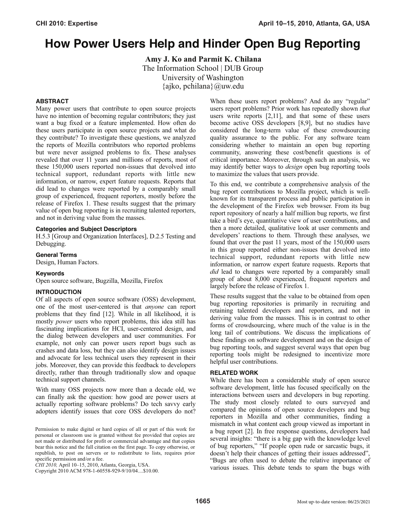# **How Power Users Help and Hinder Open Bug Reporting**

 **Amy J. Ko and Parmit K. Chilana** The Information School | DUB Group University of Washington {ajko, pchilana}@uw.edu

# **ABSTRACT**

Many power users that contribute to open source projects have no intention of becoming regular contributors; they just want a bug fixed or a feature implemented. How often do these users participate in open source projects and what do they contribute? To investigate these questions, we analyzed the reports of Mozilla contributors who reported problems but were never assigned problems to fix. These analyses revealed that over 11 years and millions of reports, most of these 150,000 users reported non-issues that devolved into technical support, redundant reports with little new information, or narrow, expert feature requests. Reports that did lead to changes were reported by a comparably small group of experienced, frequent reporters, mostly before the release of Firefox 1. These results suggest that the primary value of open bug reporting is in recruiting talented reporters, and not in deriving value from the masses.

# **Categories and Subject Descriptors**

H.5.3 [Group and Organization Interfaces], D.2.5 Testing and Debugging.

**General Terms**

Design, Human Factors.

# **Keywords**

Open source software, Bugzilla, Mozilla, Firefox

# **INTRODUCTION**

Of all aspects of open source software (OSS) development, one of the most user-centered is that *anyone* can report problems that they find [12]. While in all likelihood, it is mostly *power* users who report problems, this idea still has fascinating implications for HCI, user-centered design, and the dialog between developers and user communities. For example, not only can power users report bugs such as crashes and data loss, but they can also identify design issues and advocate for less technical users they represent in their jobs. Moreover, they can provide this feedback to developers directly, rather than through traditionally slow and opaque technical support channels.

With many OSS projects now more than a decade old, we can finally ask the question: how good are power users at actually reporting software problems? Do tech savvy early adopters identify issues that core OSS developers do not?

*CHI 2010,* April 10–15, 2010, Atlanta, Georgia, USA.

When these users report problems? And do any "regular" users report problems? Prior work has repeatedly shown *that*  users write reports [2,11], and that some of these users become active OSS developers [8,9], but no studies have considered the long-term value of these crowdsourcing quality assurance to the public. For any software team considering whether to maintain an open bug reporting community, answering these cost/benefit questions is of critical importance. Moreover, through such an analysis, we may identify better ways to *design* open bug reporting tools to maximize the values that users provide.

To this end, we contribute a comprehensive analysis of the bug report contributions to Mozilla project, which is wellknown for its transparent process and public participation in the development of the Firefox web browser. From its bug report repository of nearly a half million bug reports, we first take a bird's eye, quantitative view of user contributions, and then a more detailed, qualitative look at user comments and developers' reactions to them. Through these analyses, we found that over the past 11 years, most of the 150,000 users in this group reported either non-issues that devolved into technical support, redundant reports with little new information, or narrow expert feature requests. Reports that *did* lead to changes were reported by a comparably small group of about 8,000 experienced, frequent reporters and largely before the release of Firefox 1.

These results suggest that the value to be obtained from open bug reporting repositories is primarily in recruiting and retaining talented developers and reporters, and not in deriving value from the masses. This is in contrast to other forms of crowdsourcing, where much of the value is in the long tail of contributions. We discuss the implications of these findings on software development and on the design of bug reporting tools, and suggest several ways that open bug reporting tools might be redesigned to incentivize more helpful user contributions.

#### **RELATED WORK**

While there has been a considerable study of open source software development, little has focused specifically on the interactions between users and developers in bug reporting. The study most closely related to ours surveyed and compared the opinions of open source developers and bug reporters in Mozilla and other communities, finding a mismatch in what content each group viewed as important in a bug report [2]. In free response questions, developers had several insights: "there is a big gap with the knowledge level of bug reporters," "If people open rude or sarcastic bugs, it doesn't help their chances of getting their issues addressed", "Bugs are often used to debate the relative importance of various issues. This debate tends to spam the bugs with

Permission to make digital or hard copies of all or part of this work for personal or classroom use is granted without fee provided that copies are not made or distributed for profit or commercial advantage and that copies bear this notice and the full citation on the first page. To copy otherwise, or republish, to post on servers or to redistribute to lists, requires prior specific permission and/or a fee.

Copyright 2010 ACM 978-1-60558-929-9/10/04....\$10.00.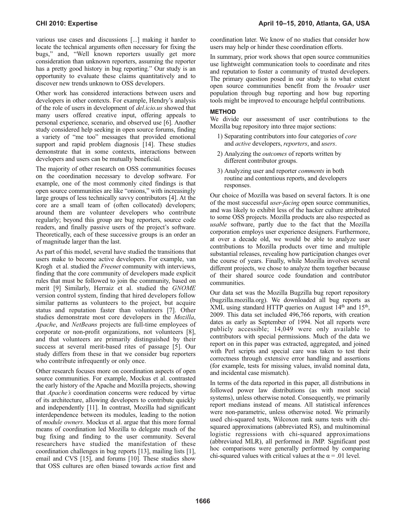various use cases and discussions [...] making it harder to locate the technical arguments often necessary for fixing the bugs," and, "Well known reporters usually get more consideration than unknown reporters, assuming the reporter has a pretty good history in bug reporting." Our study is an opportunity to evaluate these claims quantitatively and to discover new trends unknown to OSS developers.

Other work has considered interactions between users and developers in other contexts. For example, Hendry's analysis of the role of users in development of *del.icio.us* showed that many users offered creative input, offering appeals to personal experience, scenario, and observed use [6]. Another study considered help seeking in open source forums, finding a variety of "me too" messages that provided emotional support and rapid problem diagnosis [14]. These studies demonstrate that in some contexts, interactions between developers and users can be mutually beneficial.

The majority of other research on OSS communities focuses on the coordination necessary to develop software. For example, one of the most commonly cited findings is that open source communities are like "onions," with increasingly large groups of less technically savvy contributors [4]. At the core are a small team of (often collocated) developers; around them are volunteer developers who contribute regularly; beyond this group are bug reporters, source code readers, and finally passive users of the project's software. Theoretically, each of these successive groups is an order an of magnitude larger than the last.

As part of this model, several have studied the transitions that users make to become active developers. For example, van Krogh et al. studied the *Freenet* community with interviews, finding that the core community of developers made explicit rules that must be followed to join the community, based on merit [9] Similarly, Herraiz et al. studied the *GNOME* version control system, finding that hired developers follow similar patterns as volunteers to the project, but acquire status and reputation faster than volunteers [7]. Other studies demonstrate most core developers in the *Mozilla*, *Apache*, and *NetBeans* projects are full-time employees of corporate or non-profit organizations, not volunteers [8], and that volunteers are primarily distinguished by their success at several merit-based rites of passage [5]. Our study differs from these in that we consider bug reporters who contribute infrequently or only once.

Other research focuses more on coordination aspects of open source communities. For example, Mockus et al. contrasted the early history of the Apache and Mozilla projects, showing that *Apache's* coordination concerns were reduced by virtue of its architecture, allowing developers to contribute quickly and independently [11]. In contrast, Mozilla had significant interdependence between its modules, leading to the notion of *module owners*. Mockus et al. argue that this more formal means of coordination led Mozilla to delegate much of the bug fixing and finding to the user community. Several researchers have studied the manifestation of these coordination challenges in bug reports [13], mailing lists [1], email and CVS [15], and forums [10]. These studies show that OSS cultures are often biased towards *action* first and coordination later. We know of no studies that consider how users may help or hinder these coordination efforts.

In summary, prior work shows that open source communities use lightweight communication tools to coordinate and rites and reputation to foster a community of trusted developers. The primary question posed in our study is to what extent open source communities benefit from the *broader* user population through bug reporting and how bug reporting tools might be improved to encourage helpful contributions.

# **METHOD**

We divide our assessment of user contributions to the Mozilla bug repository into three major sections:

- 1) Separating contributors into four categories of *core* and *active* developers, *reporters*, and *users*.
- 2) Analyzing the *outcomes* of reports written by different contributor groups.
- 3) Analyzing user and reporter *comments* in both routine and contentious reports, and developers responses.

Our choice of Mozilla was based on several factors. It is one of the most successful *user-facing* open source communities, and was likely to exhibit less of the hacker culture attributed to some OSS projects. Mozilla products are also respected as *usable* software, partly due to the fact that the Mozilla corporation employs user experience designers. Furthermore, at over a decade old, we would be able to analyze user contributions to Mozilla products over time and multiple substantial releases, revealing how participation changes over the course of years. Finally, while Mozilla involves several different projects, we chose to analyze them together because of their shared source code foundation and contributor communities.

Our data set was the Mozilla Bugzilla bug report repository (bugzilla.mozilla.org). We downloaded all bug reports as XML using standard HTTP queries on August  $14<sup>th</sup>$  and  $15<sup>th</sup>$ , 2009. This data set included 496,766 reports, with creation dates as early as September of 1994. Not all reports were publicly accessible; 14,049 were only available to contributors with special permissions. Much of the data we report on in this paper was extracted, aggregated, and joined with Perl scripts and special care was taken to test their correctness through extensive error handling and assertions (for example, tests for missing values, invalid nominal data, and incidental case mismatch).

In terms of the data reported in this paper, all distributions in followed power law distributions (as with most social systems), unless otherwise noted. Consequently, we primarily report medians instead of means. All statistical inferences were non-parametric, unless otherwise noted. We primarily used chi-squared tests, Wilcoxon rank sums tests with chisquared approximations (abbreviated RS), and multinominal logistic regressions with chi-squared approximations (abbreviated MLR), all performed in JMP. Significant post hoc comparisons were generally performed by comparing chi-squared values with critical values at the  $\alpha$  = .01 level.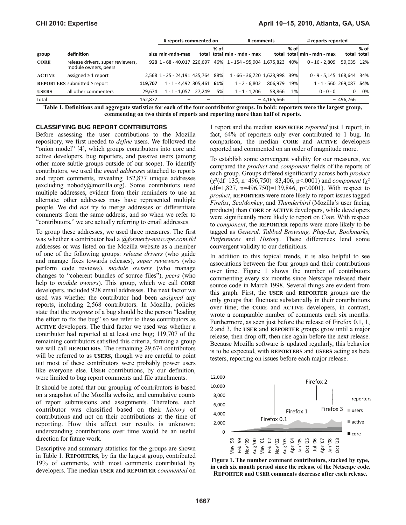|               |                                                           |         | # reports commented on             |        | # comments |                                |              | # reports reported |                             |            |                     |
|---------------|-----------------------------------------------------------|---------|------------------------------------|--------|------------|--------------------------------|--------------|--------------------|-----------------------------|------------|---------------------|
| group         | definition                                                |         | size min-mdn-max                   |        | $%$ of     | total total min - mdn - max    |              | $%$ of             | total total min - mdn - max |            | % of<br>total total |
| <b>CORE</b>   | release drivers, super reviewers,<br>module owners, peers |         | $928 \mid 1 - 68 - 40.017$ 226.697 |        |            | 46% 1 - 154 - 95,904 1,675,823 |              | 40%                | $0 - 16 - 2.809$            | 59.035 12% |                     |
| <b>ACTIVE</b> | assigned $\geq 1$ report                                  |         | 2,568 1 - 25 - 24,191 435,764 88%  |        |            | 1 - 66 - 36,720 1,623,998      |              | 39%                | $0 - 9 - 5,145$ 168,644 34% |            |                     |
|               | <b>REPORTERS</b> submitted $\ge$ report                   | 119.707 | $1 - 1 - 4,492$ 305,461 61%        |        |            | $1 - 2 - 6.802$                | 806.979      | 19%                | $1 - 1 - 560$ 269,087       |            | 54%                 |
| <b>USERS</b>  | all other commenters                                      | 29.674  | $1 - 1 - 1.057$                    | 27.249 | 5%         | $1 - 1 - 1.206$                | 58.866       | 1%                 | $0 - 0 - 0$                 | 0          | 0%                  |
| total         |                                                           | 152.877 |                                    |        |            |                                | $-4,165,666$ |                    |                             | $-496.766$ |                     |

**Table 1. Definitions and aggregate statistics for each of the four contributor groups. In bold: reporters were the largest group, commenting on two thirds of reports and reporting more than half of reports.**

#### **CLASSIFYING BUG REPORT CONTRIBUTORS**

Before assessing the user contributions to the Mozilla repository, we first needed to *define* users. We followed the "onion model" [4], which groups contributors into core and active developers, bug reporters, and passive users (among other more subtle groups outside of our scope). To identify contributors, we used the *email addresses* attached to reports and report comments, revealing 152,877 unique addresses (excluding nobody@mozilla.org). Some contributors used multiple addresses, evident from their reminders to use an alternate; other addresses may have represented multiple people. We did *not* try to merge addresses or differentiate comments from the same address, and so when we refer to "contributors," we are actually referring to email addresses.

To group these addresses, we used three measures. The first was whether a contributor had a *@formerly-netscape.com.tld* addresses or was listed on the Mozilla website as a member of one of the following groups: *release drivers* (who guide and manage fixes towards releases), *super reviewers* (who perform code reviews), *module owners* (who manage changes to "coherent bundles of source files"), *peers* (who help to *module owners*). This group, which we call **CORE** developers, included 928 email addresses. The next factor we used was whether the contributor had been *assigned* any reports, including 2,568 contributors. In Mozilla, policies state that the *assignee* of a bug should be the person "leading the effort to fix the bug" so we refer to these contributors as **ACTIVE** developers. The third factor we used was whether a contributor had reported at at least one bug; 119,707 of the remaining contributors satisfied this criteria, forming a group we will call **REPORTERS**. The remaining 29,674 contributors will be referred to as **USERS**, though we are careful to point out most of these contributors were probably power users like everyone else. **USER** contributions, by our definition, were limited to bug report comments and file attachments.

It should be noted that our grouping of contributors is based on a snapshot of the Mozilla website, and cumulative counts of report submissions and assignments. Therefore, each contributor was classified based on their *history* of contributions and not on their contributions at the time of reporting. How this affect our results is unknown; understanding contributions over time would be an useful direction for future work.

Descriptive and summary statistics for the groups are shown in Table 1. **REPORTERS**, by far the largest group, contributed 19% of comments, with most comments contributed by developers. The median **USER** and **REPORTER** *commented* on

1 report and the median **REPORTER** *reported* just 1 report; in fact, 64% of reporters only ever contributed to 1 bug. In comparison, the median **CORE** and **ACTIVE** developers reported and commented on an order of magnitude more.

To establish some convergent validity for our measures, we compared the *product* and *component* fields of the reports of each group. Groups differed significantly across both *product* (χ2(df=135, n=496,750)=83,406, p<.0001) and *component* (χ2 (df=1,827, n=496,750)=139,846, p <.0001). With respect to *product*, **REPORTERS** were more likely to report issues tagged *Firefox*, *SeaMonkey*, and *Thunderbird* (Mozilla's user facing products) than **CORE** or **ACTIVE** developers, while developers were significantly more likely to report on *Core*. With respect to *component*, the **REPORTER** reports were more likely to be tagged as *General, Tabbed Browsing, Plug-Ins, Bookmarks, Preferences* and *History*. These differences lend some convergent validity to our definitions.

In addition to this topical trends, it is also helpful to see associations between the four groups and their contributions over time. Figure 1 shows the number of contributors commenting every six months since Netscape released their source code in March 1998. Several things are evident from this graph. First, the **USER** and **REPORTER** groups are the only groups that fluctuate substantially in their contributions over time; the **CORE** and **ACTIVE** developers, in contrast, wrote a comparable number of comments each six months. Furthermore, as seen just before the release of Firefox 0.1, 1, 2 and 3, the **USER** and **REPORTER** groups grow until a major release, then drop off, then rise again before the next release. Because Mozilla software is updated regularly, this behavior is to be expected, with **REPORTERS** and **USERS** acting as beta testers, reporting on issues before each major release.



**Figure 1. The number comment contributors, stacked by type, in each six month period since the release of the Netscape code. REPORTER and USER comments decrease after each release.**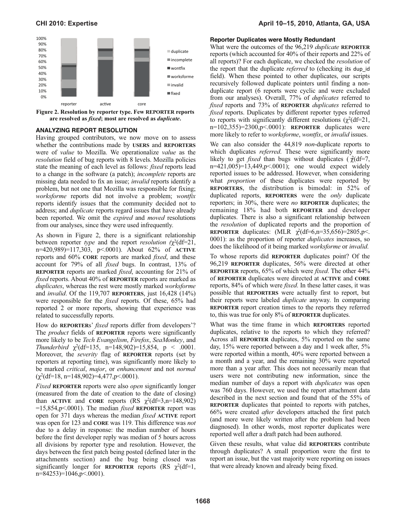

**Figure 2. Resolution by reporter type. Few REPORTER reports are resolved as** *fixed***; most are resolved as** *duplicate***.**

### **ANALYZING REPORT RESOLUTION**

Having grouped contributors, we now move on to assess whether the contributions made by **USERS** and **REPORTERS** were of *value* to Mozilla. We operationalize *value* as the *resolution* field of bug reports with 8 levels. Mozilla policies state the meaning of each level as follows: *fixed* reports lead to a change in the software (a patch); *incomplete* reports are missing data needed to fix an issue; *invalid* reports identify a problem, but not one that Mozilla was responsible for fixing; *worksforme* reports did not involve a problem; *wontfix* reports identify issues that the community decided not to address; and *duplicate* reports regard issues that have already been reported. We omit the *expired* and *moved* resolutions from our analyses, since they were used infrequently.

As shown in Figure 2, there is a significant relationship between reporter *type* and the report *resolution*  $(\chi^2(df=21,$ n=420,989)=117,303, p<.0001). About 62% of **ACTIVE** reports and 60% **CORE** reports are marked *fixed*, and these account for 79% of all *fixed* bugs. In contrast, 13% of **REPORTER** reports are marked *fixed*, accounting for 21% of *fixed* reports. About 40% of **REPORTER** reports are marked as *duplicates*, whereas the rest were mostly marked *worksforme* and *invalid*. Of the 119,707 **REPORTERS**, just 16,428 (14%) were responsible for the *fixed* reports. Of these, 65% had reported 2 or more reports, showing that experience was related to successfully reports.

How do **REPORTER**s' *fixed* reports differ from developers'? The *product* fields of **REPORTER** reports were significantly more likely to be *Tech Evangelism*, *Firefox*, *SeaMonkey*, and *Thunderbird*  $\chi^2$ (df=135, n=148,902)=15,854, p < .0001. Moreover, the *severity* flag of **REPORTER** reports (set by reporters at reporting time), was significantly more likely to be marked *critical*, *major*, or *enhancement* and not *normal*  $(\gamma^2(df=18, n=148.902)=4,477, p<.0001).$ 

*Fixed* **REPORTER** reports were also *open* significantly longer (measured from the date of creation to the date of closing) than **ACTIVE** and **CORE** reports (RS  $\chi^2$ (df=3,n=148,902) =15,854,p<.0001). The median *fixed* **REPORTER** report was open for 371 days whereas the median *fixed* **ACTIVE** report was open for 123 and **CORE** was 119. This difference was *not*  due to a delay in response: the median number of hours before the first developer reply was median of 5 hours across all divisions by reporter type and resolution. However, the days between the first patch being posted (defined later in the attachments section) and the bug being closed was significantly longer for **REPORTER** reports  $(RS \chi^2(df=1,$ n=84253)=1046,p<.0001).

### **Reporter Duplicates were Mostly Redundant**

What were the outcomes of the 96,219 *duplicate* **REPORTER**  reports (which accounted for 40% of their reports and 22% of all reports)? For each duplicate, we checked the *resolution* of the report that the duplicate *referred* to (checking its dup\_id field). When these pointed to other duplicates, our scripts recursively followed duplicate pointers until finding a nonduplicate report (6 reports were cyclic and were excluded from our analyses). Overall, 77% of *duplicates* referred to *fixed* reports and 73% of **REPORTER** *duplicates* referred to *fixed* reports. Duplicates by different reporter types referred to reports with significantly different resolutions ( $\chi^2$ (df=21, n=102,355)=2300,p<.0001): **REPORTER** duplicates were more likely to refer to *worksforme*, *wontfix*, or *invalid* issues.

We can also consider the 44,819 *non*-duplicate reports to which duplicates *referred*. These were significantly more likely to get *fixed* than bugs without duplicates ( $\hat{\chi}$ (df=7, n=421,005)=13,449,p<.0001); one would expect widely reported issues to be addressed. However, when considering what *proportion* of these duplicates were reported by **REPORTERS**, the distribution is bimodal: in 52% of duplicated reports, **REPORTERS** were the *only* duplicate reporters; in 30%, there were *no* **REPORTER** duplicates; the remaining 18% had both **REPORTER** and developer duplicates. There is also a significant relationship between the *resolution* of duplicated reports and the proportion of **REPORTER** duplicates: (MLR  $\chi^2$ (df=6,n=35,656)=2805,p<. 0001): as the proportion of reporter *duplicates* increases, so does the likelihood of it being marked *worksforme* or *invalid*.

To whose reports did **REPORTER** duplicates point? Of the 96,219 **REPORTER** duplicates, 56% were directed at other **REPORTER** reports, 65% of which were *fixed*. The other 44% of **REPORTER** duplicates were directed at **ACTIVE** and **CORE** reports, 84% of which were *fixed*. In these latter cases, it was possible that **REPORTERS** were actually first to report, but their reports were labeled *duplicate* anyway. In comparing **REPORTER** report creation times to the reports they referred to, this was true for only 8% of **REPORTER** duplicates.

What was the time frame in which **REPORTERS** reported duplicates, relative to the reports to which they referred? Across all **REPORTER** duplicates, 5% reported on the same day, 15% were reported between a day and 1 week after, 5% were reported within a month, 40% were reported between a a month and a year, and the remaining 30% were reported more than a year after. This does not necessarily mean that users were not contributing new information, since the median number of days a report with *duplicates* was open was 760 days. However, we used the report attachment data described in the next section and found that of the 55% of **REPORTER** duplicates that pointed to reports with patches, 66% were created *after* developers attached the first patch (and more were likely written after the problem had been diagnosed). In other words, most reporter duplicates were reported well after a draft patch had been authored.

Given these results, what value did **REPORTERS** contribute through duplicates? A small proportion were the first to report an issue, but the vast majority were reporting on issues that were already known and already being fixed.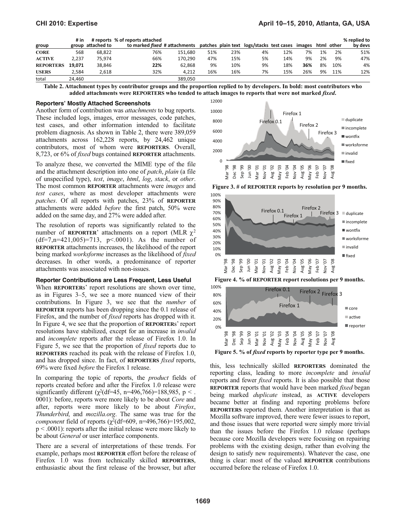|                  | # in   |                   | # reports % of reports attached |         |     |     |                                                             |     |     |    |     | % replied to |
|------------------|--------|-------------------|---------------------------------|---------|-----|-----|-------------------------------------------------------------|-----|-----|----|-----|--------------|
| group            |        | group attached to | to marked fixed # attachments   |         |     |     | patches plain text logs/stacks test cases images html other |     |     |    |     | by devs      |
| <b>CORE</b>      | 568    | 68.822            | 76%                             | 151.680 | 51% | 23% | 4%                                                          | 12% | 7%  | 1% | 2%  | 51%          |
| <b>ACTIVE</b>    | 2.237  | 75.974            | 66%                             | 170.290 | 47% | 15% | 5%                                                          | 14% | 9%  | 2% | 9%  | 47%          |
| <b>REPORTERS</b> | 19.071 | 38.846            | 22%                             | 62.868  | 9%  | 10% | 9%                                                          | 18% | 36% | 8% | 10% | 4%           |
| <b>USERS</b>     | 2.584  | 2.618             | 32%                             | 4.212   | 16% | 16% | 7%                                                          | 15% | 26% | 9% | 11% | 12%          |
| total            | 24.460 |                   |                                 | 389.050 |     |     |                                                             |     |     |    |     |              |

**Table 2. Attachment types by contributor groups and the proportion replied to by developers. In bold: most contributors who added attachments were REPORTERS who tended to attach images to reports that were not marked** *fixed***.** 

#### **Reporters' Mostly Attached Screenshots**

Another form of contribution was *attachments* to bug reports. These included logs, images, error messages, code patches, test cases, and other information intended to facilitate problem diagnosis. As shown in Table 2, there were 389,059 attachments across 162,228 reports, by 24,462 unique contributors, most of whom were **REPORTERS**. Overall, 8,723, or 6% of *fixed* bugs contained **REPORTER** attachments.

To analyze these, we converted the MIME type of the file and the attachment description into one of *patch*, *plain* (a file of unspecified type), *test*, *image*, *html*, *log*, *stack*, or *other*. The most common **REPORTER** attachments were *images* and *test cases*, where as most developer attachments were *patches*. Of all reports with patches, 23% of **REPORTER** attachments were added *before* the first patch, 50% were added on the same day, and 27% were added after.

The resolution of reports was significantly related to the number of **REPORTER**' attachments on a report (MLR  $\chi^2$ )  $(df=7, n=421, 005)=713$ ,  $p<.0001$ ). As the number of **REPORTER** attachments increases, the likelihood of the report being marked *worksforme* increases as the likelihood of *fixed* decreases. In other words, a predominance of reporter attachments was associated with non-issues.

#### **Reporter Contributions are Less Frequent, Less Useful**

When **REPORTER**s' report resolutions are shown over time, as in Figures 3–5, we see a more nuanced view of their contributions. In Figure 3, we see that the *number* of **REPORTER** reports has been dropping since the 0.1 release of Firefox, and the number of *fixed* reports has dropped with it. In Figure 4, we see that the proportion of **REPORTER**s' report resolutions have stabilized, except for an increase in *invalid* and *incomplete* reports after the release of Firefox 1.0. In Figure 5, we see that the proportion of *fixed* reports due to **REPORTERS** reached its peak with the release of Firefox 1.0, and has dropped since. In fact, of **REPORTERS** *fixed* reports, 69% were fixed *before* the Firefox 1 release.

In comparing the topic of reports, the *product* fields of reports created before and after the Firefox 1.0 release were significantly different ( $\chi^2$ (df=45, n=496,766)=188,985, p < . 0001): before, reports were more likely to be about *Core* and after, reports were more likely to be about *Firefox*, *Thunderbird*, and *mozilla.org*. The same was true for the *component* field of reports ( $\chi^2$ (df=609, n=496,766)=195,002,  $p < .0001$ ): reports after the initial release were more likely to be about *General* or user interface components.

There are a several of interpretations of these trends. For example, perhaps most **REPORTER** effort before the release of Firefox 1.0 was from technically skilled **REPORTERS**, enthusiastic about the first release of the browser, but after



**Figure 3. # of REPORTER reports by resolution per 9 months.**



**Figure 5. % of** *fixed* **reports by reporter type per 9 months.**

this, less technically skilled **REPORTERS** dominated the reporting class, leading to more *incomplete* and *invalid* reports and fewer *fixed* reports. It is also possible that those **REPORTER** reports that would have been marked *fixed* began being marked *duplicate* instead, as **ACTIVE** developers became better at finding and reporting problems before **REPORTERS** reported them. Another interpretation is that as Mozilla software improved, there were fewer issues to report, and those issues that were reported were simply more trivial than the issues before the Firefox 1.0 release (perhaps because core Mozilla developers were focusing on repairing problems with the existing design, rather than evolving the design to satisfy new requirements). Whatever the case, one thing is clear: most of the valued **REPORTER** contributions occurred before the release of Firefox 1.0.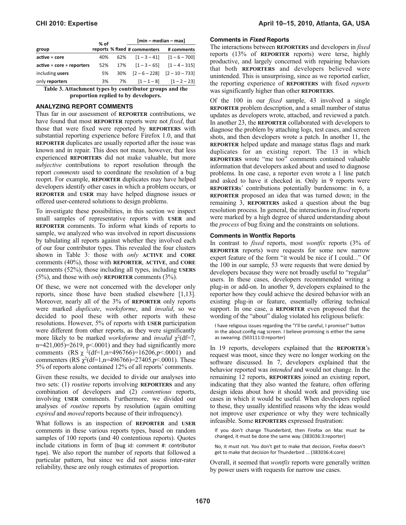|                           | $%$ of |     | [min - median - max]         |                                  |  |  |  |
|---------------------------|--------|-----|------------------------------|----------------------------------|--|--|--|
| group                     |        |     | reports % fixed # commenters | # comments                       |  |  |  |
| active + core             | 40%    | 62% | $[1 - 3 - 41]$               | $[1 - 6 - 700]$                  |  |  |  |
| active + core + reporters | 52%    | 17% | $[1 - 3 - 65]$               | $[1 - 4 - 315]$                  |  |  |  |
| including users           | 5%     | 30% |                              | $[2 - 6 - 228]$ $[2 - 10 - 733]$ |  |  |  |
| only reporters            | 3%     | 7%  | $[1 - 1 - 8]$                | $[1 - 2 - 23]$                   |  |  |  |
|                           |        |     |                              |                                  |  |  |  |

**Table 3. Attachment types by contributor groups and the proportion replied to by developers.**

### **ANALYZING REPORT COMMENTS**

Thus far in our assessment of **REPORTER** contributions, we have found that most **REPORTER** reports were not *fixed*, that those that were fixed were reported by **REPORTERS** with substantial reporting experience before Firefox 1.0, and that **REPORTER** duplicates are usually reported after the issue was known and in repair. This does not mean, however, that less experienced **REPORTERS** did not make valuable, but more *subjective* contributions to report resolution through the report *comments* used to coordinate the resolution of a bug reoprt. For example, **REPORTER** duplicates may have helped developers identify other cases in which a problem occurs, or **REPORTER** and **USER** may have helped diagnose issues or offered user-centered solutions to design problems.

To investigate these possibilities, in this section we inspect small samples of representative reports with **USER** and **REPORTER** comments. To inform what kinds of reports to sample, we analyzed who was involved in report discussions by tabulating all reports against whether they involved each of our four contributor types. This revealed the four clusters shown in Table 3: those with *only* **ACTIVE** and **CORE** comments (40%), those with **REPORTER**, **ACTIVE**, and **CORE** comments (52%), those including all types, including **USERS** (5%), and those with *only* **REPORTER** comments (3%).

Of these, we were not concerned with the developer only reports, since those have been studied elsewhere [1,13]. Moreover, nearly all of the 3% of **REPORTER** only reports were marked *duplicate*, *worksforme*, and *invalid*, so we decided to pool these with other reports with these resolutions. However, 5% of reports with **USER** participation were different from other reports, as they were significantly more likely to be marked *worksforme* and *invalid*  $\chi^2$ (df=7, n=421,005)=2619, p<.0001) and they had significantly more comments  $(RS \chi^2(df=1,n=496766)=16206,p<.0001)$  and commenters (RS  $\chi^2$ (df=1,n=496766)=27405,p<.0001). These 5% of reports alone contained 12% of all reports' comments.

Given these results, we decided to divide our analyses into two sets: (1) *routine* reports involving **REPORTERS** and any combination of developers and (2) *contentious* reports, involving **USER** comments. Furthermore, we divided our analyses of *routine* reports by resolution (again omitting *expired* and *moved* reports because of their infrequency).

What follows is an inspection of **REPORTER** and **USER** comments in these various reports types, based on random samples of 100 reports (and 40 contentious reports). Quotes include citations in form of (bug id: comment #: contributor . We also report the number of reports that followed a particular pattern, but since we did not assess inter-rater reliability, these are only rough estimates of proportion.

#### **Comments in** *Fixed* **Reports**

The interactions between **REPORTERS** and developers in *fixed* reports (13% of **REPORTER** reports) were terse, highly productive, and largely concerned with repairing behaviors that both **REPORTERS** and developers believed were unintended. This is unsurprising, since as we reported earlier, the reporting experience of **REPORTERS** with fixed *reports* was significantly higher than other **REPORTERS**.

Of the 100 in our *fixed* sample, 43 involved a single **REPORTER** problem description, and a small number of status updates as developers wrote, attached, and reviewed a patch. In another 23, the **REPORTER** collaborated with developers to diagnose the problem by attaching logs, test cases, and screen shots, and then developers wrote a patch. In another 11, the **REPORTER** helped update and manage status flags and mark duplicates for an existing report. The 13 in which **REPORTERS** wrote "me too" comments contained valuable information that developers asked about and used to diagnose problems. In one case, a reporter even wrote a 1 line patch and asked to have it checked in. Only in 9 reports were **REPORTER**s' contributions potentially burdensome: in 6, a **REPORTER** proposed an idea that was turned down; in the remaining 3, **REPORTERS** asked a question about the bug resolution process. In general, the interactions in *fixed* reports were marked by a high degree of shared understanding about the *process* of bug fixing and the constraints on solutions.

#### **Comments in Wontfix Reports**

In contrast to *fixed* reports, most *wontfix* reports (3% of **REPORTER** reports) were requests for some new narrow expert feature of the form "it would be nice if I could..." Of the 100 in our sample, 53 were requests that were denied by developers because they were not broadly useful to "regular" users. In these cases, developers recommended writing a plug-in or add-on. In another 9, developers explained to the reporter how they could achieve the desired behavior with an existing plug-in or feature, essentially offering technical support. In one case, a **REPORTER** even proposed that the wording of the "about" dialog violated his religious beliefs:

I have religious issues regarding the "I'll be careful. I promise!" button in the about: config nag screen. I believe promising is either the same as swearing.  $(503111:0$ :reporter)

In 19 reports, developers explained that the **REPORTER**'s request was moot, since they were no longer working on the software discussed. In 7, developers explained that the behavior reported was *intended* and would not change. In the remaining 12 reports, **REPORTERS** joined an existing report, indicating that they also wanted the feature, often offering design ideas about how it should work and providing use cases in which it would be useful. When developers replied to these, they usually identified reasons why the ideas would not improve user experience or why they were technically infeasible. Some **REPORTERS** expressed frustration:

If you don't change Thunderbird, then Firefox on Mac must be  $\alpha$  changed, it must be done the same way. (383036:3:reporter)

No. it must not. You don't get to make that decision. Firefox doesn't get to make that decision for Thunderbird ... (383036:4:core)

Overall, it seemed that *wontfix* reports were generally written by power users with requests for narrow use cases.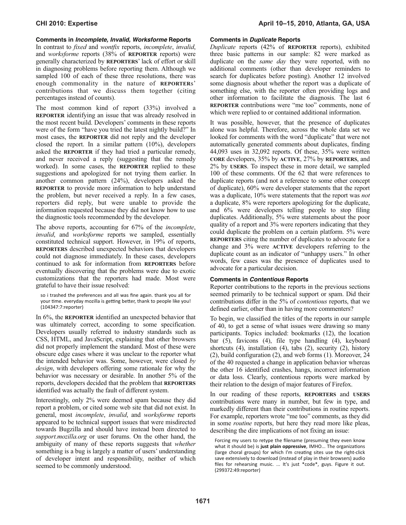# **Comments in** *Incomplete, Invalid, Worksforme* **Reports**

In contrast to *fixed* and *wontfix* reports, *incomplete*, *invalid*, and *worksforme* reports (38% of **REPORTER** reports) were generally characterized by **REPORTERS**' lack of effort or skill in diagnosing problems before reporting them. Although we sampled 100 of each of these three resolutions, there was enough commonality in the nature of **REPORTER**s' contributions that we discuss them together (citing percentages instead of counts).

The most common kind of report (33%) involved a **REPORTER** identifying an issue that was already resolved in the most recent build. Developers' comments in these reports were of the form "have you tried the latest nightly build?" In most cases, the **REPORTER** did not reply and the developer closed the report. In a similar pattern (10%), developers asked the **REPORTER** if they had tried a particular remedy, and never received a reply (suggesting that the remedy worked). In some cases, the **REPORTER** replied to these suggestions and apologized for not trying them earlier. In another common pattern (24%), developers asked the **REPORTER** to provide more information to help understand the problem, but never received a reply. In a few cases, reporters did reply, but were unable to provide the information requested because they did not know how to use the diagnostic tools recommended by the developer.

The above reports, accounting for 67% of the *incomplete*, *invalid*, and *worksforme* reports we sampled, essentially constituted technical support. However, in 19% of reports, **REPORTERS** described unexpected behaviors that developers could not diagnose immediately. In these cases, developers continued to ask for information from **REPORTERS** before eventually discovering that the problems were due to exotic customizations that the reporters had made. Most were grateful to have their issue resolved:

so i trashed the preferences and all was fine again, thank you all for vour time, everyday mozilla is getting better, thank to people like you! .<br>(104347:7:reporter)

In 6%, the **REPORTER** identified an unexpected behavior that was ultimately correct, according to some specification. Developers usually referred to industry standards such as CSS, HTML, and JavaScript, explaining that other browsers did not properly implement the standard. Most of these were obscure edge cases where it was unclear to the reporter what the intended behavior was. Some, however, were closed *by design*, with developers offering some rationale for why the behavior was necessary or desirable. In another 5% of the reports, developers decided that the problem that **REPORTERS** identified was actually the fault of different system.

Interestingly, only 2% were deemed spam because they did report a problem, or cited some web site that did not exist. In general, most *incomplete*, *invalid*, and *worksforme* reports appeared to be technical support issues that were misdirected towards Bugzilla and should have instead been directed to *support.mozilla.org* or user forums. On the other hand, the ambiguity of many of these reports suggests that *whether*  something is a bug is largely a matter of users' understanding of developer intent and responsibility, neither of which seemed to be commonly understood.

### **Comments in** *Duplicate* **Reports**

*Duplicate* reports (42% of **REPORTER** reports), exhibited three basic patterns in our sample: 82 were marked as duplicate on the *same day* they were reported, with no additional comments (other than developer reminders to search for duplicates before posting). Another 12 involved some diagnosis about whether the report was a duplicate of something else, with the reporter often providing logs and other information to facilitate the diagnosis. The last 6 **REPORTER** contributions were "me too" comments, none of which were replied to or contained additional information.

It was possible, however, that the presence of duplicates alone was helpful. Therefore, across the whole data set we looked for comments with the word "duplicate" that were not automatically generated comments about duplicates, finding 44,093 uses in 32,092 reports. Of these, 35% were written **CORE** developers, 35% by **ACTIVE**, 27% by **REPORTERS**, and 2% by **USERS**. To inspect these in more detail, we sampled 100 of these comments. Of the 62 that were references to duplicate reports (and not a reference to some other concept of duplicate), 60% were developer statements that the report was a duplicate, 10% were statements that the report was *not*  a duplicate, 8% were reporters apologizing for the duplicate, and 6% were developers telling people to stop filing duplicates. Additionally, 5% were statements about the poor quality of a report and 3% were reporters indicating that they could duplicate the problem on a certain platform. 5% were **REPORTERS** citing the number of duplicates to advocate for a change and 3% were **ACTIVE** developers referring to the duplicate count as an indicator of "unhappy users." In other words, few cases was the presence of duplicates used to advocate for a particular decision.

# **Comments in** *Contentious* **Reports**

Reporter contributions to the reports in the previous sections seemed primarily to be technical support or spam. Did their contributions differ in the 5% of *contentious* reports, that we defined earlier, other than in having more commenters?

To begin, we classified the titles of the reports in our sample of 40, to get a sense of what issues were drawing so many participants. Topics included: bookmarks (12), the location bar (5), favicons (4), file type handling (4), keyboard shortcuts (4), installation (4), tabs (2), security (2), history (2), build configuration (2), and web forms (1). Moreover, 24 of the 40 requested a change in application behavior whereas the other 16 identified crashes, hangs, incorrect information or data loss. Clearly, contentious reports were marked by their relation to the design of major features of Firefox.

In our reading of these reports, **REPORTERS** and **USERS** contributions were many in number, but few in type, and markedly different than their contributions in routine reports. For example, reporters wrote "me too" comments, as they did in some *routine* reports, but here they read more like pleas, describing the dire implications of not fixing an issue:

Forcing my users to retype the filename (presuming they even know what it should be) is **just plain oppressive**. IMHO... The organizations (large choral groups) for which I'm creating sites use the right-click  $\frac{1}{100}$  extensively to download (instead of play in their browsers) audio files for rehearsing music. ... It's just  $*$ code\*, guys. Figure it out. (299372:49:reporter)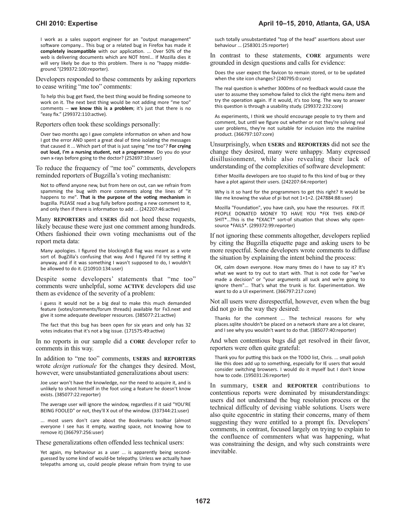I work as a sales support engineer for an "output management" software company... This bug or a related bug in Firefox has made it completely incompatible with our application. ... Over 50% of the web is delivering documents which are NOT html... If Mozilla dies it will very likely be due to this problem. There is no "happy middleeround."(299372:100:reporter).

Developers responded to these comments by asking reporters to cease writing "me too" comments:

To help this bug get fixed, the best thing would be finding someone to work on it. The next best thing would be not adding more "me too" comments -- we know this is a problem: it's just that there is no "easy fix."  $(299372:110:active)$ .

Reporters often took these scoldings personally:

Over two months ago I gave complete information on when and how  $\overline{a}$  and the error AND spent a great deal of time isolating the messages that caused it ... Which part of that is just saying "me too"? For crying **put loud. I'm a nursing student, not a programmer. Do you do your** own x-rays before going to the doctor?  $(252697:10:user)$ 

To reduce the frequency of "me too" comments, developers reminded reporters of Bugzilla's voting mechanism:

Not to offend anvone new, but from here on out, can we refrain from spamming the bug with more comments along the lines of "it happens to me". That is the purpose of the voting mechanism in bugzilla. PLEASE read a bug fully before posting a new comment to it. and only then if there is information to add  $\ldots$  (242207:46:active)

Many **REPORTERS** and **USERS** did not heed these requests, likely because these were just one comment among hundreds. Others fashioned their own voting mechanisms out of the report meta data:

Many apologies. I figured the blocking 0.8 flag was meant as a vote sort of. BugZilla's confusing that way. And I figured I'd try setting it anyway, and if it was something I wasn't supposed to do. I wouldn't be allowed to do it. (210910:134:user)

Despite some developers' statements that "me too" comments were unhelpful, some **ACTIVE** developers did use them as evidence of the severity of a problem:

i guess it would not be a big deal to make this much demanded feature (votes/comments/forum threads) available for Fx3.next and give it some adequate developer resources. (385077:21:active)

The fact that this bug has been open for six vears and only has  $32$ votes indicates that it's not a big issue.  $(171575:49:active)$ 

In no reports in our sample did a **CORE** developer refer to comments in this way.

In addition to "me too" comments, **USERS** and **REPORTERS** wrote *design rationale* for the changes they desired. Most, however, were unsubstantiated generalizations about users:

loe user won't have the knowledge, nor the need to acquire it, and is unlikely to shoot himself in the foot using a feature he doesn't know exists. (385077:22:reporter)

The average user will ignore the window, regardless if it said "YOU'RE BEING FOOLED" or not, they'll X out of the window. (337344:21:user)

... most users don't care about the Bookmarks toolbar (almost  $\frac{1}{2}$  everyone I see has it empty, wasting space, not knowing how to remove it) (366797:256:user)

These generalizations often offended less technical users:

Yet again, my behaviour as a user  $\ldots$  is apparently being secondguessed by some kind of would-be telepathy. Unless we actually have telepaths among us, could people please refrain from trying to use such totally unsubstantiated "top of the head" assertions about user behaviour ... (258301:25:reporter)

In contrast to these statements, **CORE** arguments were grounded in design questions and calls for evidence:

Does the user expect the favicon to remain stored, or to be updated when the site icon changes? (240795:0:core)

The real question is whether 3000ms of no feedback would cause the user to assume they somehow failed to click the right menu item and  $t$ rv the operation again. If it would, it's too long. The way to answer this question is through a usability study. (299372:232:core)

As experiments. I think we should encourage people to try them and  $\frac{1}{2}$  comment. but until we figure out whether or not they're solving real user problems, they're not suitable for inclusion into the mainline product. (366797:107:core)

Unsurprisingly, when **USERS** and **REPORTERS** did not see the change they desired, many were unhappy. Many expressed disillusionment, while also revealing their lack of understanding of the complexities of software development:

Either Mozilla developers are too stupid to fix this kind of bug or they have a plot against their users. (242207:64:reporter)

Why is it so hard for the programmers to get this right? It would be like me knowing the value of pi but not  $1+1=2$ . (247884:88:user)

Mozilla "Foundation", you have cash, you have the resources. FIX IT. PEOPLE DONATED MONEY TO HAVE YOU \*FIX THIS KIND-OF  $SHIT^*...$ This is the  $*EXACT*$  sort-of situation that shows why opensource \*FAILS\*, (299372:99:reporter)

If not ignoring these comments altogether, developers replied by citing the Bugzilla etiquette page and asking users to be more respectful. Some developers wrote comments to diffuse the situation by explaining the intent behind the process:

OK, calm down everyone. How many times do I have to say it? It's what we want to try out to start with. That is not code for "we've made a decision" or "vour arguments all suck and we're going to ignore them"... That's what the trunk is for. Experimentation. We want to do a UI experiment. (366797:217:core)

Not all users were disrespectful, however, even when the bug did not go in the way they desired:

Thanks for the comment ... The technical reasons for why places.salite shouldn't be placed on a network share are a lot clearer. .<br>and I see why you wouldn't want to do that. (385077:40:reporter)

And when contentious bugs did get resolved in their favor, reporters were often quite grateful:

Thank vou for putting this back on the TODO list. Chris. ... small polish like this does add up to something, especially for IE users that would consider switching browsers. I would do it myself but I don't know how to code.  $(195031:26:$ reporter)

In summary, **USER** and **REPORTER** contributions to contentious reports were dominated by misunderstandings: users did not understand the bug resolution process or the technical difficulty of devising viable solutions. Users were also quite egocentric in stating their concerns, many of them suggesting they were entitled to a prompt fix. Developers' comments, in contrast, focused largely on trying to explain to the confluence of commenters what was happening, what was constraining the design, and why such constraints were inevitable.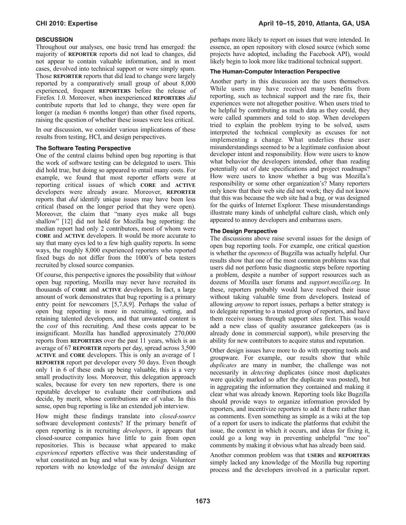# **DISCUSSION**

Throughout our analyses, one basic trend has emerged: the majority of **REPORTER** reports did not lead to changes, did not appear to contain valuable information, and in most cases, devolved into technical support or were simply spam. Those **REPORTER** reports that did lead to change were largely reported by a comparatively small group of about 8,000 experienced, frequent **REPORTERS** before the release of Firefox 1.0. Moreover, when inexperienced **REPORTERS** *did* contribute reports that led to change, they were open far longer (a median 6 months longer) than other fixed reports, raising the question of whether these issues were less critical.

In our discussion, we consider various implications of these results from testing, HCI, and design perspectives.

#### **The Software Testing Perspective**

One of the central claims behind open bug reporting is that the work of software testing can be delegated to users. This did hold true, but doing so appeared to entail many costs. For example, we found that most reporter efforts were at reporting critical issues of which **CORE** and **ACTIVE** developers were already aware. Moreover, **REPORTER** reports that *did* identify unique issues may have been less critical (based on the longer period that they were open). Moreover, the claim that "many eyes make all bugs shallow" [12] did not hold for Mozilla bug reporting: the median report had only 2 contributors, most of whom were **CORE** and **ACTIVE** developers. It would be more accurate to say that many eyes led to a few high quality reports. In some ways, the roughly 8,000 experienced reporters who reported fixed bugs do not differ from the 1000's of beta testers recruited by closed source companies.

Of course, this perspective ignores the possibility that *without* open bug reporting, Mozilla may never have recruited its thousands of **CORE** and **ACTIVE** developers. In fact, a large amount of work demonstrates that bug reporting is a primary entry point for newcomers [5,7,8,9]. Perhaps the value of open bug reporting is more in recruiting, vetting, and retaining talented developers, and that unwanted content is the *cost* of this recruiting. And these costs appear to be insignificant. Mozilla has handled approximately 270,000 reports from **REPORTERS** over the past 11 years, which is an average of 67 **REPORTER** reports per day, spread across 3,500 **ACTIVE** and **CORE** developers. This is only an average of 1 **REPORTER** report per developer every 50 days. Even though only 1 in 6 of these ends up being valuable, this is a very small productivity loss. Moreover, this delegation approach scales, because for every ten new reporters, there is one reputable developer to evaluate their contributions and decide, by merit, whose contributions are of value. In this sense, open bug reporting is like an extended job interview.

How might these findings translate into *closed-source* software development contexts? If the primary benefit of open reporting is in recruiting *developers*, it appears that closed-source companies have little to gain from open repositories. This is because what appeared to make *experienced* reporters effective was their understanding of what constituted an bug and what was by design. Volunteer reporters with no knowledge of the *intended* design are perhaps more likely to report on issues that were intended. In essence, an open repository with closed source (which some projects have adopted, including the Facebook API), would likely begin to look more like traditional technical support.

### **The Human-Computer Interaction Perspective**

Another party in this discussion are the users themselves. While users may have received many benefits from reporting, such as technical support and the rare fix, their experiences were not altogether positive. When users tried to be helpful by contributing as much data as they could, they were called spammers and told to stop. When developers tried to explain the problem trying to be solved, users interpreted the technical complexity as excuses for not implementing a change. What underlies these user misunderstandings seemed to be a legitimate confusion about developer intent and responsibility. How were users to know what behavior the developers intended, other than reading potentially out of date specifications and project roadmaps? How were users to know whether a bug was Mozilla's responsibility or some other organization's? Many reporters only knew that their web site did not work; they did not know that this was because the web site had a bug, or was designed for the quirks of Internet Explorer. These misunderstandings illustrate many kinds of unhelpful culture clash, which only appeared to annoy developers and embarrass users.

# **The Design Perspective**

The discussions above raise several issues for the design of open bug reporting tools. For example, one critical question is whether the *openness* of Bugzilla was actually helpful. Our results show that one of the most common problems was that users did not perform basic diagnostic steps before reporting a problem, despite a number of support resources such as dozens of Mozilla user forums and *support.mozilla.org*. In these, reporters probably would have resolved their issue without taking valuable time from developers. Instead of allowing *anyone* to report issues, perhaps a better strategy is to delegate reporting to a trusted group of reporters, and have them receive issues through support sites first. This would add a new class of quality assurance gatekeepers (as is already done in commercial support), while preserving the ability for new contributors to acquire status and reputation.

Other design issues have more to do with reporting tools and groupware. For example, our results show that while *duplicates* are many in number, the challenge was not necessarily in *detecting* duplicates (since most duplicates were quickly marked so after the duplicate was posted), but in aggregating the information they contained and making it clear what was already known. Reporting tools like Bugzilla should provide ways to organize information provided by reporters, and incentivize reporters to add it there rather than as comments. Even something as simple as a wiki at the top of a report for users to indicate the platforms that exhibit the issue, the context in which it occurs, and ideas for fixing it, could go a long way in preventing unhelpful "me too" comments by making it obvious what has already been said.

Another common problem was that **USERS** and **REPORTERS** simply lacked any knowledge of the Mozilla bug reporting process and the developers involved in a particular report.